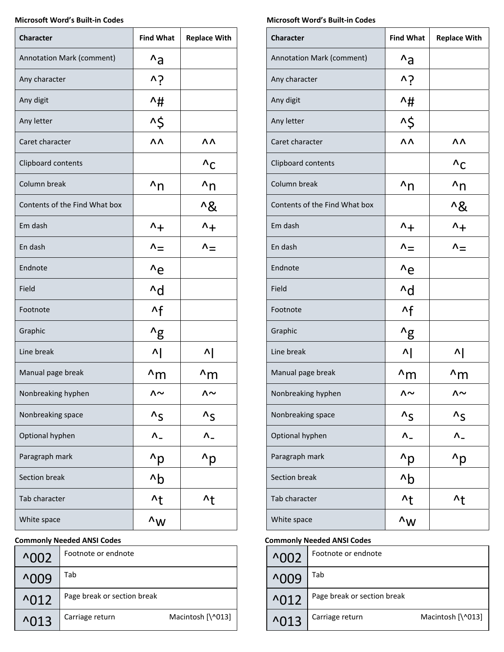## **Microsoft Word's Built‐in Codes Microsoft Word's Built‐in Codes**

| <b>Character</b>              | <b>Find What</b>       | <b>Replace With</b>    | <b>Character</b>              | <b>Find What</b>       |
|-------------------------------|------------------------|------------------------|-------------------------------|------------------------|
| Annotation Mark (comment)     | $^{\wedge}a$           |                        | Annotation Mark (comment)     | $^{\wedge}a$           |
| Any character                 | νŚ                     |                        | Any character                 | νŚ                     |
| Any digit                     | ^#                     |                        | Any digit                     | ^#                     |
| Any letter                    | ^\$                    |                        | Any letter                    | ^\$                    |
| Caret character               | ΛΛ                     | ΛΛ                     | Caret character               | ΛΛ                     |
| Clipboard contents            |                        | $^{\wedge}$ C          | Clipboard contents            |                        |
| Column break                  | $n_{n}$                | $n_{n}$                | Column break                  | $n_{n}$                |
| Contents of the Find What box |                        | ^&                     | Contents of the Find What box |                        |
| Em dash                       | $\Lambda_{+}$          | $^{\wedge +}$          | Em dash                       | $\Lambda_{+}$          |
| En dash                       | $\Lambda_{\equiv}$     | $\Lambda_{\equiv}$     | En dash                       | $\Lambda_{\equiv}$     |
| Endnote                       | $^{\wedge}e$           |                        | Endnote                       | $^{\wedge}e$           |
| Field                         | $\mathsf{d}$           |                        | Field                         | $\mathsf{d}$           |
| Footnote                      | $\mathsf{A}$ f         |                        | Footnote                      | $\mathsf{A}$ f         |
| Graphic                       | $^{\prime}$ g          |                        | Graphic                       | $^{\prime}$ g          |
| Line break                    | $\Lambda$              | 시                      | Line break                    | $\Lambda$              |
| Manual page break             | $\wedge$ m             | $\wedge$ m             | Manual page break             | $\wedge$ m             |
| Nonbreaking hyphen            | ∧∼                     | ∧∼                     | Nonbreaking hyphen            | ∧∼                     |
| Nonbreaking space             | $\Lambda_{\mathsf{S}}$ | $\Lambda_{\mathsf{S}}$ | Nonbreaking space             | $\Lambda_{\mathsf{S}}$ |
| Optional hyphen               | $\Lambda_-$            | $\Lambda_-$            | Optional hyphen               | $\Lambda$ <sub>-</sub> |
| Paragraph mark                | $^{\prime}$ p          | $^{\prime}$ p          | Paragraph mark                | $^{\prime}$ p          |
| Section break                 | $\lambda b$            |                        | Section break                 | $^{\prime}$ b          |
| Tab character                 | $\lambda$              | $\lambda t$            | Tab character                 | $\lambda t$            |
| White space                   | $\wedge_{\mathsf{W}}$  |                        | White space                   | $\wedge_{\mathsf{W}}$  |

# **Commonly Needed ANSI Codes Commonly Needed ANSI Codes**

| $^{\wedge}002$              | Footnote or endnote         |                   | $^{\wedge}002$             | Footnote or endnote         |                   |
|-----------------------------|-----------------------------|-------------------|----------------------------|-----------------------------|-------------------|
| $^{\circ}009$               | Tab                         |                   | ^009                       | Tab                         |                   |
| $^{\prime}$ <sup>012</sup>  | Page break or section break |                   | $^{\wedge}012$             | Page break or section break |                   |
| $^{\prime}$ <sub>0</sub> 13 | Carriage return             | Macintosh [\^013] | $^{\prime}$ <sub>013</sub> | Carriage return             | Macintosh [\^013] |

| <b>Character</b>              | <b>Find What</b>                 | <b>Replace With</b>              |
|-------------------------------|----------------------------------|----------------------------------|
| Annotation Mark (comment)     | $^{\prime}$ a                    |                                  |
| Any character                 | v.j                              |                                  |
| Any digit                     | ^#                               |                                  |
| Any letter                    | ^\$                              |                                  |
| Caret character               | ΛΛ                               | ۸۸                               |
| Clipboard contents            |                                  | $^{\Lambda}$ C                   |
| Column break                  | $n_{n}$                          | $n_{n}$                          |
| Contents of the Find What box |                                  | $^{\prime}8$                     |
| Em dash                       | $^{\wedge +}$                    | $^{\wedge +}$                    |
| En dash                       | $\Lambda_{\equiv}$               | $\mathsf{\Lambda_{\pm}}$         |
| Endnote                       | $^{\wedge}e$                     |                                  |
| Field                         | ^d                               |                                  |
| Footnote                      | $\mathsf{A}$ f                   |                                  |
| Graphic                       | $^{\prime}$ g                    |                                  |
| Line break                    | 시                                | $\Lambda$                        |
| Manual page break             | ^m                               | ^m                               |
| Nonbreaking hyphen            | $\mathsf{\Lambda} \mathsf{\sim}$ | $\mathsf{\Lambda} \mathsf{\sim}$ |
| Nonbreaking space             | $\Lambda_{\mathsf{S}}$           | $\Lambda_{\mathsf{S}}$           |
| Optional hyphen               |                                  |                                  |
| Paragraph mark                | $^{\prime}$ p                    | ^p                               |
| Section break                 | $\Delta b$                       |                                  |
| Tab character                 | $\lambda$                        | $\lambda$                        |
| White space                   | $\wedge_{\mathsf{W}}$            |                                  |

| $^{\circ}$ 002             | Footnote or endnote         |                   |
|----------------------------|-----------------------------|-------------------|
| <b>^009</b>                | Tab                         |                   |
| $^{\prime}$ <sub>012</sub> | Page break or section break |                   |
| $\wedge$ 013               | Carriage return             | Macintosh [\^013] |